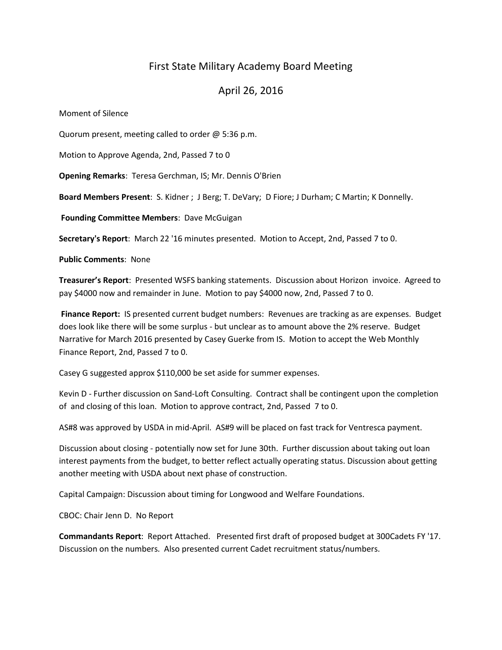# First State Military Academy Board Meeting

## April 26, 2016

Moment of Silence

Quorum present, meeting called to order @ 5:36 p.m.

Motion to Approve Agenda, 2nd, Passed 7 to 0

**Opening Remarks**: Teresa Gerchman, IS; Mr. Dennis O'Brien

**Board Members Present**: S. Kidner ; J Berg; T. DeVary; D Fiore; J Durham; C Martin; K Donnelly.

**Founding Committee Members**: Dave McGuigan

**Secretary's Report**: March 22 '16 minutes presented. Motion to Accept, 2nd, Passed 7 to 0.

**Public Comments**: None

**Treasurer's Report**: Presented WSFS banking statements. Discussion about Horizon invoice. Agreed to pay \$4000 now and remainder in June. Motion to pay \$4000 now, 2nd, Passed 7 to 0.

**Finance Report:** IS presented current budget numbers: Revenues are tracking as are expenses. Budget does look like there will be some surplus - but unclear as to amount above the 2% reserve. Budget Narrative for March 2016 presented by Casey Guerke from IS. Motion to accept the Web Monthly Finance Report, 2nd, Passed 7 to 0.

Casey G suggested approx \$110,000 be set aside for summer expenses.

Kevin D - Further discussion on Sand-Loft Consulting. Contract shall be contingent upon the completion of and closing of this loan. Motion to approve contract, 2nd, Passed 7 to 0.

AS#8 was approved by USDA in mid-April. AS#9 will be placed on fast track for Ventresca payment.

Discussion about closing - potentially now set for June 30th. Further discussion about taking out loan interest payments from the budget, to better reflect actually operating status. Discussion about getting another meeting with USDA about next phase of construction.

Capital Campaign: Discussion about timing for Longwood and Welfare Foundations.

CBOC: Chair Jenn D. No Report

**Commandants Report**: Report Attached. Presented first draft of proposed budget at 300Cadets FY '17. Discussion on the numbers. Also presented current Cadet recruitment status/numbers.